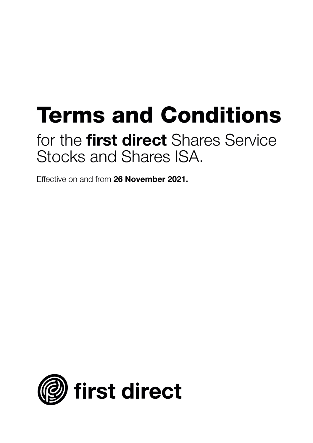# **Terms and Conditions**

## for the **first direct** Shares Service Stocks and Shares ISA.

Effective on and from **26 November 2021.**

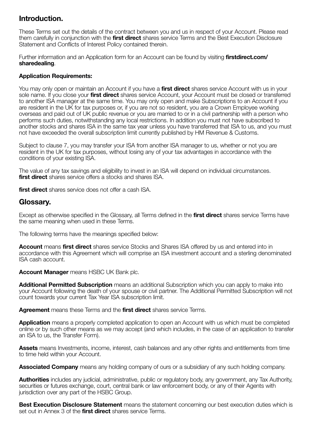#### **Introduction.**

These Terms set out the details of the contract between you and us in respect of your Account. Please read them carefully in conjunction with the **first direct** shares service Terms and the Best Execution Disclosure Statement and Conflicts of Interest Policy contained therein.

Further information and an Application form for an Account can be found by visiting **firstdirect.com/ sharedealing**.

#### **Application Requirements:**

You may only open or maintain an Account if you have a **first direct** shares service Account with us in your sole name. If you close your **first direct** shares service Account, your Account must be closed or transferred to another ISA manager at the same time. You may only open and make Subscriptions to an Account if you are resident in the UK for tax purposes or, if you are not so resident, you are a Crown Employee working overseas and paid out of UK public revenue or you are married to or in a civil partnership with a person who performs such duties, notwithstanding any local restrictions. In addition you must not have subscribed to another stocks and shares ISA in the same tax year unless you have transferred that ISA to us, and you must not have exceeded the overall subscription limit currently published by HM Revenue & Customs.

Subject to clause 7, you may transfer your ISA from another ISA manager to us, whether or not you are resident in the UK for tax purposes, without losing any of your tax advantages in accordance with the conditions of your existing ISA.

The value of any tax savings and eligibility to invest in an ISA will depend on individual circumstances. **first direct** shares service offers a stocks and shares ISA.

**first direct** shares service does not offer a cash ISA.

#### **Glossary.**

Except as otherwise specified in the Glossary, all Terms defined in the **first direct** shares service Terms have the same meaning when used in these Terms.

The following terms have the meanings specified below:

**Account** means **first direct** shares service Stocks and Shares ISA offered by us and entered into in accordance with this Agreement which will comprise an ISA investment account and a sterling denominated ISA cash account.

**Account Manager** means HSBC UK Bank plc.

**Additional Permitted Subscription** means an additional Subscription which you can apply to make into your Account following the death of your spouse or civil partner. The Additional Permitted Subscription will not count towards your current Tax Year ISA subscription limit.

**Agreement** means these Terms and the **first direct** shares service Terms.

**Application** means a properly completed application to open an Account with us which must be completed online or by such other means as we may accept (and which includes, in the case of an application to transfer an ISA to us, the Transfer Form).

**Assets** means Investments, income, interest, cash balances and any other rights and entitlements from time to time held within your Account.

**Associated Company** means any holding company of ours or a subsidiary of any such holding company.

**Authorities** includes any judicial, administrative, public or regulatory body, any government, any Tax Authority, securities or futures exchange, court, central bank or law enforcement body, or any of their Agents with jurisdiction over any part of the HSBC Group.

**Best Execution Disclosure Statement** means the statement concerning our best execution duties which is set out in Annex 3 of the **first direct** shares service Terms.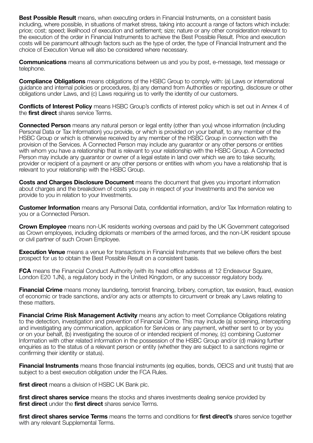**Best Possible Result** means, when executing orders in Financial Instruments, on a consistent basis including, where possible, in situations of market stress, taking into account a range of factors which include: price; cost; speed; likelihood of execution and settlement; size; nature or any other consideration relevant to the execution of the order in Financial Instruments to achieve the Best Possible Result. Price and execution costs will be paramount although factors such as the type of order, the type of Financial Instrument and the choice of Execution Venue will also be considered where necessary.

**Communications** means all communications between us and you by post, e-message, text message or telephone.

**Compliance Obligations** means obligations of the HSBC Group to comply with: (a) Laws or international guidance and internal policies or procedures, (b) any demand from Authorities or reporting, disclosure or other obligations under Laws, and (c) Laws requiring us to verify the identity of our customers.

**Conflicts of Interest Policy** means HSBC Group's conflicts of interest policy which is set out in Annex 4 of the **first direct** shares service Terms.

**Connected Person** means any natural person or legal entity (other than you) whose information (including Personal Data or Tax Information) you provide, or which is provided on your behalf, to any member of the HSBC Group or which is otherwise received by any member of the HSBC Group in connection with the provision of the Services. A Connected Person may include any guarantor or any other persons or entities with whom you have a relationship that is relevant to your relationship with the HSBC Group. A Connected Person may include any guarantor or owner of a legal estate in land over which we are to take security, provider or recipient of a payment or any other persons or entities with whom you have a relationship that is relevant to your relationship with the HSBC Group.

**Costs and Charges Disclosure Document** means the document that gives you important information about charges and the breakdown of costs you pay in respect of your Investments and the service we provide to you in relation to your Investments.

**Customer Information** means any Personal Data, confidential information, and/or Tax Information relating to you or a Connected Person.

**Crown Employee** means non-UK residents working overseas and paid by the UK Government categorised as Crown employees, including diplomats or members of the armed forces, and the non-UK resident spouse or civil partner of such Crown Employee.

**Execution Venue** means a venue for transactions in Financial Instruments that we believe offers the best prospect for us to obtain the Best Possible Result on a consistent basis.

**FCA** means the Financial Conduct Authority (with its head office address at 12 Endeavour Square, London E20 1JN), a regulatory body in the United Kingdom, or any successor regulatory body.

**Financial Crime** means money laundering, terrorist financing, bribery, corruption, tax evasion, fraud, evasion of economic or trade sanctions, and/or any acts or attempts to circumvent or break any Laws relating to these matters.

**Financial Crime Risk Management Activity** means any action to meet Compliance Obligations relating to the detection, investigation and prevention of Financial Crime. This may include (a) screening, intercepting and investigating any communication, application for Services or any payment, whether sent to or by you or on your behalf, (b) investigating the source of or intended recipient of money, (c) combining Customer Information with other related information in the possession of the HSBC Group and/or (d) making further enquiries as to the status of a relevant person or entity (whether they are subject to a sanctions regime or confirming their identity or status).

**Financial Instruments** means those financial instruments (eg equities, bonds, OEICS and unit trusts) that are subject to a best execution obligation under the FCA Rules.

**first direct** means a division of HSBC UK Bank plc.

**first direct shares service** means the stocks and shares investments dealing service provided by **first direct** under the **first direct** shares service Terms.

**first direct shares service Terms** means the terms and conditions for **first direct's** shares service together with any relevant Supplemental Terms.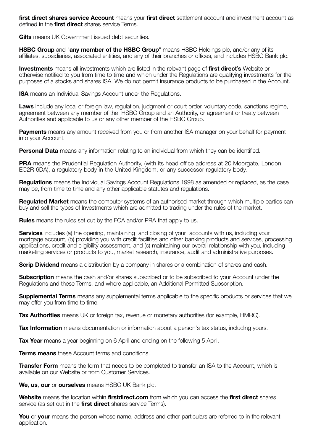**first direct shares service Account** means your **first direct** settlement account and investment account as defined in the **first direct** shares service Terms.

**Gilts** means UK Government issued debt securities

**HSBC Group** and "**any member of the HSBC Group**" means HSBC Holdings plc, and/or any of its affiliates, subsidiaries, associated entities, and any of their branches or offices, and includes HSBC Bank plc.

**Investments** means all investments which are listed in the relevant page of **first direct's** Website or otherwise notified to you from time to time and which under the Regulations are qualifying investments for the purposes of a stocks and shares ISA. We do not permit insurance products to be purchased in the Account.

**ISA** means an Individual Savings Account under the Regulations.

**Laws** include any local or foreign law, regulation, judgment or court order, voluntary code, sanctions regime, agreement between any member of the HSBC Group and an Authority, or agreement or treaty between Authorities and applicable to us or any other member of the HSBC Group.

**Payments** means any amount received from you or from another ISA manager on your behalf for payment into your Account.

**Personal Data** means any information relating to an individual from which they can be identified.

**PRA** means the Prudential Regulation Authority, (with its head office address at 20 Moorgate, London, EC2R 6DA), a regulatory body in the United Kingdom, or any successor regulatory body.

**Regulations** means the Individual Savings Account Regulations 1998 as amended or replaced, as the case may be, from time to time and any other applicable statutes and regulations.

**Regulated Market** means the computer systems of an authorised market through which multiple parties can buy and sell the types of Investments which are admitted to trading under the rules of the market.

**Rules** means the rules set out by the FCA and/or PRA that apply to us.

**Services** includes (a) the opening, maintaining and closing of your accounts with us, including your mortgage account, (b) providing you with credit facilities and other banking products and services, processing applications, credit and eligibility assessment, and (c) maintaining our overall relationship with you, including marketing services or products to you, market research, insurance, audit and administrative purposes.

**Scrip Dividend** means a distribution by a company in shares or a combination of shares and cash.

**Subscription** means the cash and/or shares subscribed or to be subscribed to your Account under the Regulations and these Terms, and where applicable, an Additional Permitted Subscription.

**Supplemental Terms** means any supplemental terms applicable to the specific products or services that we may offer you from time to time.

**Tax Authorities** means UK or foreign tax, revenue or monetary authorities (for example, HMRC).

**Tax Information** means documentation or information about a person's tax status, including yours.

**Tax Year** means a year beginning on 6 April and ending on the following 5 April.

**Terms means** these Account terms and conditions.

**Transfer Form** means the form that needs to be completed to transfer an ISA to the Account, which is available on our Website or from Customer Services.

**We**, **us**, **our** or **ourselves** means HSBC UK Bank plc.

**Website** means the location within **firstdirect.com** from which you can access the **first direct** shares service (as set out in the **first direct** shares service Terms).

**You** or **your** means the person whose name, address and other particulars are referred to in the relevant application.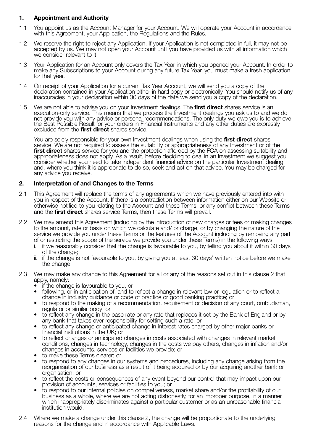#### **1. Appointment and Authority**

- 1.1 You appoint us as the Account Manager for your Account. We will operate your Account in accordance with this Agreement, your Application, the Regulations and the Rules.
- 1.2 We reserve the right to reject any Application. If your Application is not completed in full, it may not be accepted by us. We may not open your Account until you have provided us with all information which we consider relevant to it.
- 1.3 Your Application for an Account only covers the Tax Year in which you opened your Account. In order to make any Subscriptions to your Account during any future Tax Year, you must make a fresh application for that year.
- 1.4 On receipt of your Application for a current Tax Year Account, we will send you a copy of the declaration contained in your Application either in hard copy or electronically. You should notify us of any inaccuracies in your declaration within 30 days of the date we send you a copy of the declaration.
- 1.5 We are not able to advise you on your Investment dealings. The **first direct** shares service is an execution-only service. This means that we process the Investment dealings you ask us to and we do not provide you with any advice or personal recommendations. The only duty we owe you is to achieve the Best Possible Result for your orders in Financial Instruments and any other duties are expressly excluded from the **first direct** shares service.

 You are solely responsible for your own Investment dealings when using the **first direct** shares service. We are not required to assess the suitability or appropriateness of any Investment or of the **first direct** shares service for you and the protection afforded by the FCA on assessing suitability and appropriateness does not apply. As a result, before deciding to deal in an Investment we suggest you consider whether you need to take independent financial advice on the particular Investment dealing and, where you think it is appropriate to do so, seek and act on that advice. You may be charged for any advice you receive.

#### **2. Interpretation of and Changes to the Terms**

- 2.1 This Agreement will replace the terms of any agreements which we have previously entered into with you in respect of the Account. If there is a contradiction between information either on our Website or otherwise notified to you relating to the Account and these Terms, or any conflict between these Terms and the **first direct** shares service Terms, then these Terms will prevail.
- 2.2 We may amend this Agreement (including by the introduction of new charges or fees or making changes to the amount, rate or basis on which we calculate and/ or charge, or by changing the nature of the service we provide you under these Terms or the features of the Account including by removing any part of or restricting the scope of the service we provide you under these Terms) in the following ways:
	- i. if we reasonably consider that the change is favourable to you, by telling you about it within 30 days of the change;
	- ii. if the change is not favourable to you, by giving you at least 30 days' written notice before we make the change.
- 2.3 We may make any change to this Agreement for all or any of the reasons set out in this clause 2 that apply, namely:
	- if the change is favourable to you; or
	- following, or in anticipation of, and to reflect a change in relevant law or regulation or to reflect a change in industry quidance or code of practice or good banking practice; or
	- to respond to the making of a recommendation, requirement or decision of any court, ombudsman, requirement or similar body; or
	- to reflect any change in the base rate or any rate that replaces it set by the Bank of England or by any bank that takes over responsibility for setting such a rate: or
	- to reflect any change or anticipated change in interest rates charged by other major banks or<br>financial institutions in the UK; or
	- to reflect changes or anticipated changes in costs associated with changes in relevant market conditions, changes in technology, changes in the costs we pay others, changes in inflation and/or changes in accounts, services or facilities we provide; or
	- to make these Terms clearer; or
	- to respond to any changes in our systems and procedures, including any change arising from the reorganisation of our business as a result of it being acquired or by our acquiring another bank or<br>organisation: or
	- to reflect the costs or consequences of any event beyond our control that may impact upon our provision of accounts, services or facilities to you; or
	- to respond to our internal policies on competiveness, market share and/or the profitability of our business as a whole, where we are not acting dishonestly, for an improper purpose, in a manner which inappropriately discriminates against a particular customer or as an unreasonable financial institution would.
- 2.4 Where we make a change under this clause 2, the change will be proportionate to the underlying reasons for the change and in accordance with Applicable Laws.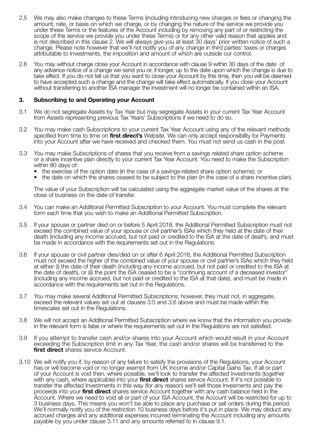- 2.5 We may also make changes to these Terms (including introducing new charges or fees or changing the amount, rate, or basis on which we charge, or by changing the nature of the service we provide you under these Terms or the features of the Account including by removing any part of or restricting the scope of the service we provide you under these Terms) or for any other valid reason that applies and is not described in this clause 2. We will always give you at least 30 days' prior written notice of such a change. Please note however that we'll not notify you of any change in third parties' taxes or charges attributable to Investments, the imposition and amount of which are outside our control.
- 2.6 You may without charge close your Account in accordance with clause 9 within 30 days of the date of any advance notice of a change we send you or, if longer, up to the date upon which the change is due to take effect. If you do not tell us that you want to close your Account by this time, then you will be deemed to have accepted such a change and the change will take effect automatically. If you close your Account without transferring to another ISA manager the investment will no longer be contained within an ISA.

#### **3. Subscribing to and Operating your Account**

- 3.1 We do not segregate Assets by Tax Year but may segregate Assets in your current Tax Year Account from Assets representing previous Tax Years' Subscriptions if we need to do so.
- 3.2 You may make cash Subscriptions to your current Tax Year Account using any of the relevant methods specified from time to time on **first direct's** Website. We can only accept responsibility for Payments into your Account after we have received and checked them. You must not send us cash in the post.
- 3.3 You may make Subscriptions of shares that you receive from a savings related share option scheme or a share incentive plan directly to your current Tax Year Account. You need to make the Subscription within 90 days of:
	- the exercise of the option date (in the case of a savings-related share option scheme); or
	- the date on which the shares ceased to be subject to the plan (in the case of a share incentive plan).

 The value of your Subscription will be calculated using the aggregate market value of the shares at the close of business on the date of transfer.

- 3.4 You can make an Additional Permitted Subscription to your Account. You must complete the relevant form each time that you wish to make an Additional Permitted Subscription.
- 3.5 If your spouse or partner died on or before 5 April 2018, the Additional Permitted Subscription must not exceed the combined value of your spouse or civil partner's ISAs which they held at the date of their death (including any income accrued, but not paid or credited to the ISA at the date of death), and must be made in accordance with the requirements set out in the Regulations.
- 3.6 If your spouse or civil partner dies/died on or after 6 April 2018, the Additional Permitted Subscription must not exceed the higher of the combined value of your spouse or civil partner's ISAs which they held at either (i) the date of their death (including any income accrued, but not paid or credited to the ISA at the date of death), or (ii) the point the ISA ceased to be a "continuing account of a deceased investor" (including any income accrued, but not paid or credited to the ISA at that date), and must be made in accordance with the requirements set out in the Regulations.
- 3.7 You may make several Additional Permitted Subscriptions; however, they must not, in aggregate, exceed the relevant values set out at clauses 3.5 and 3.6 above and must be made within the timescales set out in the Regulations.
- 3.8 We will not accept an Additional Permitted Subscription where we know that the information you provide in the relevant form is false or where the requirements set out in the Regulations are not satisfied.
- 3.9 If you attempt to transfer cash and/or shares into your Account which would result in your Account exceeding the Subscription limit in any Tax Year, the cash and/or shares will be transferred to the **first direct** shares service Account.
- 3.10 We will notify you if, by reason of any failure to satisfy the provisions of the Regulations, your Account has or will become void or no longer exempt from UK Income and/or Capital Gains Tax. If all or part of your Account is void then, where possible, we'll look to transfer the affected Investments (together with any cash, where applicable) into your **first direct** shares service Account. If it's not possible to transfer the affected Investments in this way (for any reason) we'll sell those Invesments and pay the proceeds into your **first direct** shares service Account together with any cash balance held in the Account. Where we need to void all or part of your ISA Account, the Account will be restricted for up to 3 business days. This means you won't be able to place any purchase or sell orders during this period. We'll normally notify you of the restriction 10 business days before it's put in place. We may deduct any accrued charges and any additional expenses incurred terminating the Account including any amounts payable by you under clause 3.11 and any amounts referred to in clause 9.1.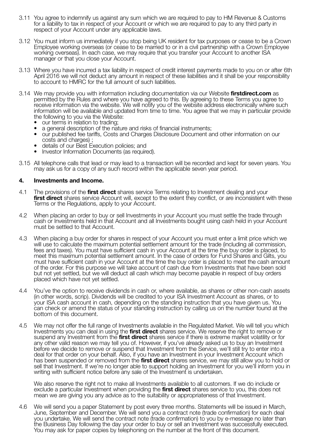- 3.11 You agree to indemnify us against any sum which we are required to pay to HM Revenue & Customs for a liability to tax in respect of your Account or which we are required to pay to any third party in respect of your Account under any applicable laws.
- 3.12 You must inform us immediately if you stop being UK resident for tax purposes or cease to be a Crown Employee working overseas (or cease to be married to or in a civil partnership with a Crown Employee working overseas). In each case, we may require that you transfer your Account to another ISA manager or that you close your Account.
- 3.13 Where you have incurred a tax liability in respect of credit interest payments made to you on or after 6th April 2016 we will not deduct any amount in respect of these liabilities and it shall be your responsibility to account to HMRC for the full amount of such liabilities.
- 3.14 We may provide you with information including documentation via our Website **firstdirect.com** as permitted by the Rules and where you have agreed to this. By agreeing to these Terms you agree to receive information via the website. We will notify you of the website address electronically where such information will be available and updated from time to time. You agree that we may in particular provide the following to you via the Website:
	-
	- our terms in relation to trading;<br>• a general description of the nature and risks of financial instruments:
	- our published fee tariffs, Costs and Charges Disclosure Document and other information on our costs and charges) ;
	- details of our Best Execution policies; and
	- Investor Information Documents (as required).
- 3.15 All telephone calls that lead or may lead to a transaction will be recorded and kept for seven years. You may ask us for a copy of any such record within the applicable seven year period.

#### **4. Investments and Income.**

- 4.1 The provisions of the **first direct** shares service Terms relating to Investment dealing and your **first direct** shares service Account will, except to the extent they conflict, or are inconsistent with these Terms or the Regulations, apply to your Account.
- 4.2 When placing an order to buy or sell Investments in your Account you must settle the trade through cash or Investments held in that Account and all Investments bought using cash held in your Account must be settled to that Account.
- 4.3 When placing a buy order for shares in respect of your Account you must enter a limit price which we will use to calculate the maximum potential settlement amount for the trade (including all commission, fees and taxes). You must have sufficient cash in your Account at the time the buy order is placed, to meet this maximum potential settlement amount. In the case of orders for Fund Shares and Gilts, you must have sufficient cash in your Account at the time the buy order is placed to meet the cash amount of the order. For this purpose we will take account of cash due from Investments that have been sold but not yet settled, but we will deduct all cash which may become payable in respect of buy orders placed which have not yet settled.
- 4.4 You've the option to receive dividends in cash or, where available, as shares or other non-cash assets (in other words, scrip). Dividends will be credited to your ISA Investment Account as shares, or to your ISA cash account in cash, depending on the standing instruction that you have given us. You can check or amend the status of your standing instruction by calling us on the number found at the bottom of this document.
- 4.5 We may not offer the full range of Investments available in the Regulated Market. We will tell you which Investments you can deal in using the **first direct** shares service. We reserve the right to remove or suspend any Investment from the **first direct** shares service if there is extreme market volatility or for any other valid reason we may tell you of. However, if you've already asked us to buy an Investment before we decide to remove or suspend that Investment from the Service, we'll still try to enter into a deal for that order on your behalf. Also, if you have an Investment in your Investment Account which has been suspended or removed from the **first direct** shares service, we may still allow you to hold or sell that Investment. If we're no longer able to support holding an Investment for you we'll inform you in writing with sufficient notice before any sale of the Investment is undertaken.

 We also reserve the right not to make all Investments available to all customers. If we do include or exclude a particular Investment when providing the **first direct** shares service to you, this does not mean we are giving you any advice as to the suitability or appropriateness of that Investment.

4.6 We will send you a paper Statement by post every three months. Statements will be issued in March, June, September and December. We will send you a contract note (trade confirmation) for each deal you undertake. We will send the contract note (trade confirmation) to you by e-message no later than the Business Day following the day your order to buy or sell an Investment was successfully executed. You may ask for paper copies by telephoning on the number at the front of this document.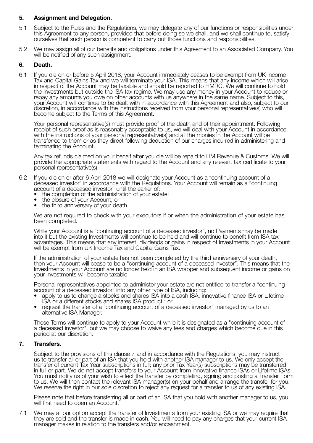#### **5. Assignment and Delegation.**

- 5.1 Subject to the Rules and the Regulations, we may delegate any of our functions or responsibilities under this Agreement to any person, provided that before doing so we shall, and we shall continue to, satisfy ourselves that such person is competent to carry out those functions and responsibilities.
- 5.2 We may assign all of our benefits and obligations under this Agreement to an Associated Company. You will be notified of any such assignment.

#### **6. Death.**

6.1 If you die on or before 5 April 2018, your Account immediately ceases to be exempt from UK Income Tax and Capital Gains Tax and we will terminate your ISA. This means that any income which will arise in respect of the Account may be taxable and should be reported to HMRC. We will continue to hold the Investments but outside the ISA tax regime. We may use any money in your Account to reduce or repay any amounts you owe on other accounts with us anywhere in the same name. Subject to this, your Account will continue to be dealt with in accordance with this Agreement and also, subject to our discretion, in accordance with the instructions received from your personal representative(s) who will become subject to the Terms of this Agreement.

 Your personal representative(s) must provide proof of the death and of their appointment. Following receipt of such proof as is reasonably acceptable to us, we will deal with your Account in accordance with the instructions of your personal representative(s) and all the monies in the Account will be transferred to them or as they direct following deduction of our charges incurred in administering and terminating the Account.

 Any tax refunds claimed on your behalf after you die will be repaid to HM Revenue & Customs. We will provide the appropriate statements with regard to the Account and any relevant tax certificate to your personal representative(s).

- 6.2 If you die on or after 6 April 2018 we will designate your Account as a "continuing account of a deceased investor" in accordance with the Regulations. Your Account will remain as a "continuing account of a deceased investor" until the earlier of:
	- the completion of the administration of your estate;
	- the closure of your Account; or
	- the third anniversary of your death.

 We are not required to check with your executors if or when the administration of your estate has been completed.

 While your Account is a "continuing account of a deceased investor", no Payments may be made into it but the existing Investments will continue to be held and will continue to benefit from ISA tax advantages. This means that any interest, dividends or gains in respect of Investments in your Account will be exempt from UK Income Tax and Capital Gains Tax.

 If the administration of your estate has not been completed by the third anniversary of your death, then your Account will cease to be a "continuing account of a deceased investor". This means that the Investments in your Account are no longer held in an ISA wrapper and subsequent income or gains on your Investments will become taxable.

Personal representatives appointed to administer your estate are not entitled to transfer a "continuing account of a deceased investor" into any other type of ISA, including:

- apply to us to change a stocks and shares ISA into a cash ISA, innovative finance ISA or Lifetime<br>ISA or a different stocks and shares ISA product; or
- request the transfer of a "continuing account of a deceased investor" managed by us to an alternative ISA Manager.

 These Terms will continue to apply to your Account while it is designated as a "continuing account of a deceased investor", but we may choose to waive any fees and charges which become due in this period at our discretion.

#### **7. Transfers.**

 Subject to the provisions of this clause 7 and in accordance with the Regulations, you may instruct us to transfer all or part of an ISA that you hold with another ISA manager to us. We only accept the transfer of current Tax Year subscriptions in full; any prior Tax Year(s) subscriptions may be transferred in full or part. We do not accept transfers to your Account from innovative finance ISAs or Lifetime ISAs. You must notify us of your wish to effect the transfer by completing, signing and posting a Transfer Form to us. We will then contact the relevant ISA manager(s) on your behalf and arrange the transfer for you. We reserve the right in our sole discretion to reject any request for a transfer to us of any existing ISA.

 Please note that before transferring all or part of an ISA that you hold with another manager to us, you will first need to open an Account.

7.1 We may at our option accept the transfer of Investments from your existing ISA or we may require that they are sold and the transfer is made in cash. You will need to pay any charges that your current ISA manager makes in relation to the transfers and/or encashment.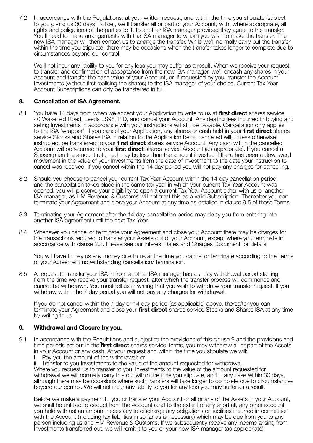7.2 In accordance with the Regulations, at your written request, and within the time you stipulate (subject to you giving us 30 days' notice), we'll transfer all or part of your Account, with, where appropriate, all rights and obligations of the parties to it, to another ISA manager provided they agree to the transfer. You'll need to make arrangements with the ISA manager to whom you wish to make the transfer. The new ISA manager will then contact us to arrange the transfer. While we'll normally carry out the transfer within the time you stipulate, there may be occasions when the transfer takes longer to complete due to circumstances beyond our control.

We'll not incur any liability to you for any loss you may suffer as a result. When we receive your request to transfer and confirmation of acceptance from the new ISA manager, we'll encash any shares in your Account and transfer the cash value of your Account, or, if requested by you, transfer the Account Investments (without first realising the shares) to the ISA manager of your choice. Current Tax Year Account Subscriptions can only be transferred in full.

#### **8. Cancellation of ISA Agreement.**

- 8.1 You have 14 days from when we accept your Application to write to us at **first direct** shares service, 40 Wakefield Road, Leeds LS98 1FD, and cancel your Account. Any dealing fees incurred in buying and selling Investments in accordance with your instructions will still be payable. Cancellation only applies to the ISA 'wrapper'. If you cancel your Application, any shares or cash held in your **first direct** shares service Stocks and Shares ISA in relation to the Application being cancelled will, unless otherwise instructed, be transferred to your **first direct** shares service Account. Any cash within the cancelled Account will be returned to your **first direct** shares service Account (as appropriate). If you cancel a Subscription the amount returned may be less than the amount invested if there has been a downward movement in the value of your Investments from the date of investment to the date your instruction to cancel was received. If you cancel within the 14 day period you will not pay any charges for cancelling.
- 8.2 Should you choose to cancel your current Tax Year Account within the 14 day cancellation period, and the cancellation takes place in the same tax year in which your current Tax Year Account was opened, you will preserve your eligibility to open a current Tax Year Account either with us or another ISA manager, as HM Revenue & Customs will not treat this as a valid Subscription. Thereafter you can terminate your Agreement and close your Account at any time as detailed in clause 9.5 of these Terms.
- 8.3 Terminating your Agreement after the 14 day cancellation period may delay you from entering into another ISA agreement until the next Tax Year.
- 8.4 Whenever you cancel or terminate your Agreement and close your Account there may be charges for the transactions required to transfer your Assets out of your Account, except where you terminate in accordance with clause 2.2. Please see our Interest Rates and Charges Document for details.

 You will have to pay us any money due to us at the time you cancel or terminate according to the Terms of your Agreement notwithstanding cancellation/ termination.

8.5 A request to transfer your ISA in from another ISA manager has a 7 day withdrawal period starting from the time we receive your transfer request, after which the transfer process will commence and cannot be withdrawn. You must tell us in writing that you wish to withdraw your transfer request. If you withdraw within the 7 day period you will not pay any charges for withdrawal.

 If you do not cancel within the 7 day or 14 day period (as applicable) above, thereafter you can terminate your Agreement and close your **first direct** shares service Stocks and Shares ISA at any time by writing to us.

#### **9. Withdrawal and Closure by you.**

- 9.1 In accordance with the Regulations and subject to the provisions of this clause 9 and the provisions and time periods set out in the **first direct** shares service Terms, you may withdraw all or part of the Assets in your Account or any cash. At your request and within the time you stipulate we will:
	- i. Pay you the amount of the withdrawal; or

ii. Transfer to you Investments to the value of the amount requested for withdrawal.

 Where you request us to transfer to you, Investments to the value of the amount requested for withdrawal we will normally carry this out within the time you stipulate, and in any case within 30 days, although there may be occasions where such transfers will take longer to complete due to circumstances beyond our control. We will not incur any liability to you for any loss you may suffer as a result.

 Before we make a payment to you or transfer your Account or all or any of the Assets in your Account, we shall be entitled to deduct from the Account (and to the extent of any shortfall, any other account you hold with us) an amount necessary to discharge any obligations or liabilities incurred in connection with the Account (including tax liabilities in so far as is necessary) which may be due from you to any person including us and HM Revenue & Customs. If we subsequently receive any income arising from Investments transferred out, we will remit it to you or your new ISA manager (as appropriate).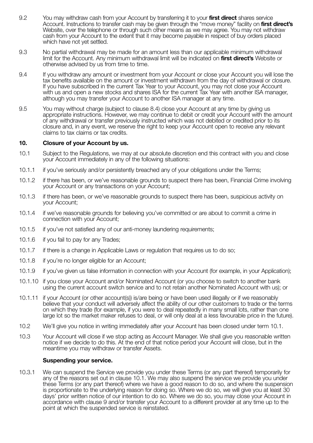- 9.2 You may withdraw cash from your Account by transferring it to your **first direct** shares service Account. Instructions to transfer cash may be given through the "move money" facility on **first direct's** Website, over the telephone or through such other means as we may agree. You may not withdraw cash from your Account to the extent that it may become payable in respect of buy orders placed which have not yet settled.
- 9.3 No partial withdrawal may be made for an amount less than our applicable minimum withdrawal limit for the Account. Any minimum withdrawal limit will be indicated on **first direct's** Website or otherwise advised by us from time to time.
- 9.4 If you withdraw any amount or investment from your Account or close your Account you will lose the tax benefits available on the amount or investment withdrawn from the day of withdrawal or closure. If you have subscribed in the current Tax Year to your Account, you may not close your Account with us and open a new stocks and shares ISA for the current Tax Year with another ISA manager, although you may transfer your Account to another ISA manager at any time.
- 9.5 You may without charge (subject to clause 8.4) close your Account at any time by giving us appropriate instructions. However, we may continue to debit or credit your Account with the amount of any withdrawal or transfer previously instructed which was not debited or credited prior to its closure and, in any event, we reserve the right to keep your Account open to receive any relevant claims to tax claims or tax credits.

#### **10. Closure of your Account by us.**

- 10.1 Subject to the Regulations, we may at our absolute discretion end this contract with you and close your Account immediately in any of the following situations:
- 10.1.1 if you've seriously and/or persistently breached any of your obligations under the Terms;
- 10.1.2 if there has been, or we've reasonable grounds to suspect there has been, Financial Crime involving your Account or any transactions on your Account;
- 10.1.3 if there has been, or we've reasonable grounds to suspect there has been, suspicious activity on your Account;
- 10.1.4 if we've reasonable grounds for believing you've committed or are about to commit a crime in connection with your Account;
- 10.1.5 if you've not satisfied any of our anti-money laundering requirements;
- 10.1.6 if you fail to pay for any Trades;
- 10.1.7 if there is a change in Applicable Laws or regulation that requires us to do so;
- 10.1.8 if you're no longer eligible for an Account;
- 10.1.9 if you've given us false information in connection with your Account (for example, in your Application);
- 10.1.10 if you close your Account and/or Nominated Account (or you choose to switch to another bank using the current account switch service and to not retain another Nominated Account with us); or
- 10.1.11 if your Account (or other account(s)) is/are being or have been used illegally or if we reasonably believe that your conduct will adversely affect the ability of our other customers to trade or the terms on which they trade (for example, if you were to deal repeatedly in many small lots, rather than one large lot so the market maker refuses to deal, or will only deal at a less favourable price in the future).
- 10.2 We'll give you notice in writing immediately after your Account has been closed under term 10.1.
- 10.3 Your Account will close if we stop acting as Account Manager. We shall give you reasonable written notice if we decide to do this. At the end of that notice period your Account will close, but in the meantime you may withdraw or transfer Assets.

#### **Suspending your service.**

10.3.1 We can suspend the Service we provide you under these Terms (or any part thereof) temporarily for any of the reasons set out in clause 10.1. We may also suspend the service we provide you under these Terms (or any part thereof) where we have a good reason to do so, and where the suspension is proportionate to the underlying reason for doing so. Where we do so, we will give you at least 30 days' prior written notice of our intention to do so. Where we do so, you may close your Account in accordance with clause 9 and/or transfer your Account to a different provider at any time up to the point at which the suspended service is reinstated.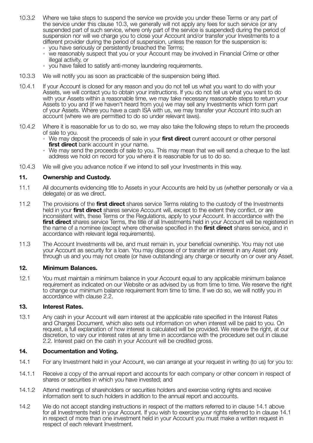- 10.3.2 Where we take steps to suspend the service we provide you under these Terms or any part of the service under this clause 10.3, we generally will not apply any fees for such service (or any suspended part of such service, where only part of the service is suspended) during the period of suspension nor will we charge you to close your Account and/or transfer your Investments to a different provider during the period of suspension, unless the reason for the suspension is: - you have seriously or persistently breached the Terms;
	- we reasonably suspect that you or your Account may be involved in Financial Crime or other illegal activity, or
	- you have failed to satisfy anti-money laundering requirements.
- 10.3.3 We will notify you as soon as practicable of the suspension being lifted.
- 10.4.1 If your Account is closed for any reason and you do not tell us what you want to do with your Assets, we will contact you to obtain your instructions. If you do not tell us what you want to do with your Assets within a reasonable time, we may take necessary reasonable steps to return your Assets to you and (if we haven't heard from you) we may sell any Investments which form part of your Assets. Where you have a cash ISA with us, we may transfer your Account into such an account (where we are permitted to do so under relevant laws).
- 10.4.2 Where it is reasonable for us to do so, we may also take the following steps to return the proceeds of sale to you.
	- We may deposit the proceeds of sale in your **first direct** current account or other personal **first direct** bank account in your name.
	- We may send the proceeds of sale to you. This may mean that we will send a cheque to the last address we hold on record for you where it is reasonable for us to do so.
- 10.4.3 We will give you advance notice if we intend to sell your Investments in this way.

#### **11. Ownership and Custody.**

- 11.1 All documents evidencing title to Assets in your Accounts are held by us (whether personally or via a delegate) or as we direct.
- 11.2 The provisions of the **first direct** shares service Terms relating to the custody of the Investments held in your **first direct** shares service Account will, except to the extent they conflict, or are inconsistent with, these Terms or the Regulations, apply to your Account. In accordance with the **first direct** shares service Terms, the title of all Investments held in your Account will be registered in the name of a nominee (except where otherwise specified in the **first direct** shares service, and in accordance with relevant legal requirements).
- 11.3 The Account Investments will be, and must remain in, your beneficial ownership. You may not use your Account as security for a loan. You may dispose of or transfer an interest in any Asset only through us and you may not create (or have outstanding) any charge or security on or over any Asset.

#### **12. Minimum Balances.**

12.1 You must maintain a minimum balance in your Account equal to any applicable minimum balance requirement as indicated on our Website or as advised by us from time to time. We reserve the right to change our minimum balance requirement from time to time. If we do so, we will notify you in accordance with clause 2.2.

#### **13. Interest Rates.**

13.1 Any cash in your Account will earn interest at the applicable rate specified in the Interest Rates and Charges Document, which also sets out information on when interest will be paid to you. On request, a full explanation of how interest is calculated will be provided. We reserve the right, at our discretion, to vary our interest rates at any time in accordance with the procedure set out in clause 2.2. Interest paid on the cash in your Account will be credited gross.

#### **14. Documentation and Voting.**

- 14.1 For any Investment held in your Account, we can arrange at your request in writing (to us) for you to:
- 14.1.1 Receive a copy of the annual report and accounts for each company or other concern in respect of shares or securities in which you have invested; and
- 14.1.2 Attend meetings of shareholders or securities holders and exercise voting rights and receive information sent to such holders in addition to the annual report and accounts.
- 14.2 We do not accept standing instructions in respect of the matters referred to in clause 14.1 above for all Investments held in your Account. If you wish to exercise your rights referred to in clause 14.1 in respect of more than one investment held in your Account you must make a written request in respect of each relevant Investment.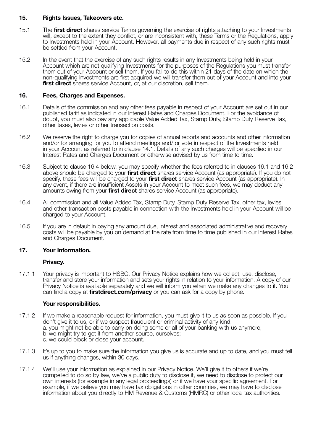#### **15. Rights Issues, Takeovers etc.**

- 15.1 The **first direct** shares service Terms governing the exercise of rights attaching to your Investments will, except to the extent they conflict, or are inconsistent with, these Terms or the Regulations, apply to Investments held in your Account. However, all payments due in respect of any such rights must be settled from your Account.
- 15.2 In the event that the exercise of any such rights results in any Investments being held in your Account which are not qualifying Investments for the purposes of the Regulations you must transfer them out of your Account or sell them. If you fail to do this within 21 days of the date on which the non-qualifying Investments are first acquired we will transfer them out of your Account and into your **first direct** shares service Account, or, at our discretion, sell them.

#### **16. Fees, Charges and Expenses.**

- 16.1 Details of the commission and any other fees payable in respect of your Account are set out in our published tariff as indicated in our Interest Rates and Charges Document. For the avoidance of doubt, you must also pay any applicable Value Added Tax, Stamp Duty, Stamp Duty Reserve Tax, other taxes, levies or other transaction costs.
- 16.2 We reserve the right to charge you for copies of annual reports and accounts and other information and/or for arranging for you to attend meetings and/ or vote in respect of the Investments held in your Account as referred to in clause 14.1. Details of any such charges will be specified in our Interest Rates and Charges Document or otherwise advised by us from time to time.
- 16.3 Subject to clause 16.4 below, you may specify whether the fees referred to in clauses 16.1 and 16.2 above should be charged to your **first direct** shares service Account (as appropriate). If you do not specify, these fees will be charged to your **first direct** shares service Account (as appropriate). In any event, if there are insufficient Assets in your Account to meet such fees, we may deduct any amounts owing from your **first direct** shares service Account (as appropriate).
- 16.4 All commission and all Value Added Tax, Stamp Duty, Stamp Duty Reserve Tax, other tax, levies and other transaction costs payable in connection with the Investments held in your Account will be charged to your Account.
- 16.5 If you are in default in paying any amount due, interest and associated administrative and recovery costs will be payable by you on demand at the rate from time to time published in our Interest Rates and Charges Document.

#### **17. Your Information.**

#### **Privacy.**

17.1.1 Your privacy is important to HSBC. Our Privacy Notice explains how we collect, use, disclose, transfer and store your information and sets your rights in relation to your information. A copy of our Privacy Notice is available separately and we will inform you when we make any changes to it. You can find a copy at **firstdirect.com/privacy** or you can ask for a copy by phone.

#### **Your responsibilities.**

- 17.1.2 If we make a reasonable request for information, you must give it to us as soon as possible. If you don't give it to us, or if we suspect fraudulent or criminal activity of any kind: a. you might not be able to carry on doing some or all of your banking with us anymore; b. we might try to get it from another source, ourselves; c. we could block or close your account.
- 17.1.3 It's up to you to make sure the information you give us is accurate and up to date, and you must tell us if anything changes, within 30 days.
- 17.1.4 We'll use your information as explained in our Privacy Notice. We'll give it to others if we're compelled to do so by law, we've a public duty to disclose it, we need to disclose to protect our own interests (for example in any legal proceedings) or if we have your specific agreement. For example, if we believe you may have tax obligations in other countries, we may have to disclose information about you directly to HM Revenue & Customs (HMRC) or other local tax authorities.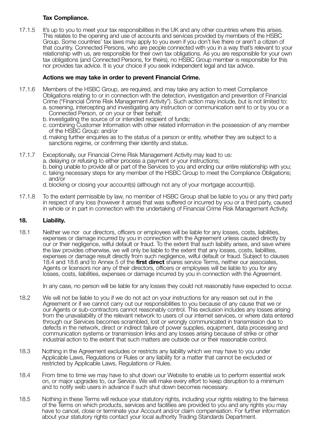#### **Tax Compliance.**

17.1.5 It's up to you to meet your tax responsibilities in the UK and any other countries where this arises. This relates to the opening and use of accounts and services provided by members of the HSBC Group. Some countries' tax laws may apply to you even if you don't live there or aren't a citizen of that country. Connected Persons, who are people connected with you in a way that's relevant to your relationship with us, are responsible for their own tax obligations. As you are responsible for your own tax obligations (and Connected Persons, for theirs), no HSBC Group member is responsible for this nor provides tax advice. It is your choice if you seek independent legal and tax advice.

#### **Actions we may take in order to prevent Financial Crime.**

- 17.1.6 Members of the HSBC Group, are required, and may take any action to meet Compliance Obligations relating to or in connection with the detection, investigation and prevention of Financial Crime ("Financial Crime Risk Management Activity"). Such action may include, but is not limited to: a. screening, intercepting and investigating any instruction or communication sent to or by you or a Connected Person, or on your or their behalf;
	- b. investigating the source of or intended recipient of funds;
	- c. combining Customer Information with other related information in the possession of any member of the HSBC Group: and/or
	- d. making further enquiries as to the status of a person or entity, whether they are subject to a sanctions regime, or confirming their identity and status.
- 17.1.7 Exceptionally, our Financial Crime Risk Management Activity may lead to us:
	- a. delaying or refusing to either process a payment or your instructions;
	- b. being unable to provide all or part of the Services to you and ending our entire relationship with you; c. taking necessary steps for any member of the HSBC Group to meet the Compliance Obligations; and/or
	- d. blocking or closing your account(s) (although not any of your mortgage account(s)).
- 17.1.8 To the extent permissible by law, no member of HSBC Group shall be liable to you or any third party in respect of any loss (however it arose) that was suffered or incurred by you or a third party, caused in whole or in part in connection with the undertaking of Financial Crime Risk Management Activity.

#### **18. Liability.**

18.1 Neither we nor our directors, officers or employees will be liable for any losses, costs, liabilities, expenses or damage incurred by you in connection with the Agreement unless caused directly by our or their negligence, wilful default or fraud. To the extent that such liability arises, and save where the law provides otherwise, we will only be liable to the extent that any losses, costs, liabilities, expenses or damage result directly from such negligence, wilful default or fraud. Subject to clauses 18.4 and 18.6 and to Annex 5 of the **first direct** shares service Terms, neither our associates, Agents or licensors nor any of their directors, officers or employees will be liable to you for any losses, costs, liabilities, expenses or damage incurred by you in connection with the Agreement.

In any case, no person will be liable for any losses they could not reasonably have expected to occur.

- 18.2 We will not be liable to you if we do not act on your instructions for any reason set out in the Agreement or if we cannot carry out our responsibilities to you because of any cause that we or our Agents or sub-contractors cannot reasonably control. This exclusion includes any losses arising from the unavailability of the relevant network to users of our internet services, or where data entered through our Services becomes scrambled, lost or wrongly communicated in transmission due to defects in the network, direct or indirect failure of power supplies, equipment, data processing and communication systems or transmission links and any losses arising because of strike or other industrial action to the extent that such matters are outside our or their reasonable control.
- 18.3 Nothing in the Agreement excludes or restricts any liability which we may have to you under Applicable Laws, Regulations or Rules or any liability for a matter that cannot be excluded or restricted by Applicable Laws, Regulations or Rules.
- 18.4 From time to time we may have to shut down our Website to enable us to perform essential work on, or major upgrades to, our Service. We will make every effort to keep disruption to a minimum and to notify web users in advance if such shut down becomes necessary.
- 18.5 Nothing in these Terms will reduce your statutory rights, including your rights relating to the fairness of the Terms on which products, services and facilities are provided to you and any rights you may have to cancel, close or terminate your Account and/or claim compensation. For further information about your statutory rights contact your local authority Trading Standards Department.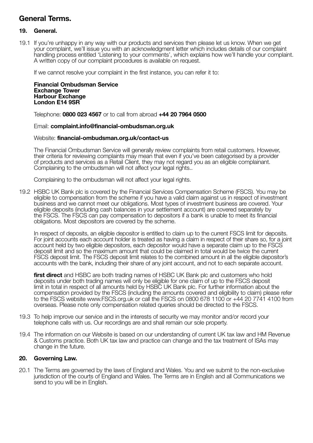#### **General Terms.**

#### **19. General.**

19.1 If you're unhappy in any way with our products and services then please let us know. When we get your complaint, we'll issue you with an acknowledgment letter which includes details of our complaint handling process entitled 'Listening to your comments', which explains how we'll handle your complaint. A written copy of our complaint procedures is available on request.

If we cannot resolve your complaint in the first instance, you can refer it to:

 **Financial Ombudsman Service Exchange Tower Harbour Exchange London E14 9SR**

Telephone: **0800 023 4567** or to call from abroad **+44 20 7964 0500**

#### Email: **complaint.info@financial-ombudsman.org.uk**

#### Website: **financial-ombudsman.org.uk/contact-us**

 The Financial Ombudsman Service will generally review complaints from retail customers. However, their criteria for reviewing complaints may mean that even if you've been categorised by a provider of products and services as a Retail Client, they may not regard you as an eligible complainant. Complaining to the ombudsman will not affect your legal rights..

Complaining to the ombudsman will not affect your legal rights.

19.2 HSBC UK Bank plc is covered by the Financial Services Compensation Scheme (FSCS). You may be eligible to compensation from the scheme if you have a valid claim against us in respect of investment business and we cannot meet our obligations. Most types of investment business are covered. Your eligible deposits (including cash balances in your settlement account) are covered separately by the FSCS. The FSCS can pay compensation to depositors if a bank is unable to meet its financial obligations. Most depositors are covered by the scheme.

 In respect of deposits, an eligible depositor is entitled to claim up to the current FSCS limit for deposits. For joint accounts each account holder is treated as having a claim in respect of their share so, for a joint account held by two eligible depositors, each depositor would have a separate claim up to the FSCS deposit limit and so the maximum amount that could be claimed in total would be twice the current FSCS deposit limit. The FSCS deposit limit relates to the combined amount in all the eligible depositor's accounts with the bank, including their share of any joint account, and not to each separate account.

 **first direct** and HSBC are both trading names of HSBC UK Bank plc and customers who hold deposits under both trading names will only be eligible for one claim of up to the FSCS deposit limit in total in respect of all amounts held by HSBC UK Bank plc. For further information about the compensation provided by the FSCS (including the amounts covered and eligibility to claim) please refer to the FSCS website www.FSCS.org.uk or call the FSCS on 0800 678 1100 or +44 20 7741 4100 from overseas. Please note only compensation related queries should be directed to the FSCS.

- 19.3 To help improve our service and in the interests of security we may monitor and/or record your telephone calls with us. Our recordings are and shall remain our sole property.
- 19.4 The information on our Website is based on our understanding of current UK tax law and HM Revenue & Customs practice. Both UK tax law and practice can change and the tax treatment of ISAs may change in the future.

#### **20. Governing Law.**

20.1 The Terms are governed by the laws of England and Wales. You and we submit to the non-exclusive jurisdiction of the courts of England and Wales. The Terms are in English and all Communications we send to you will be in English.